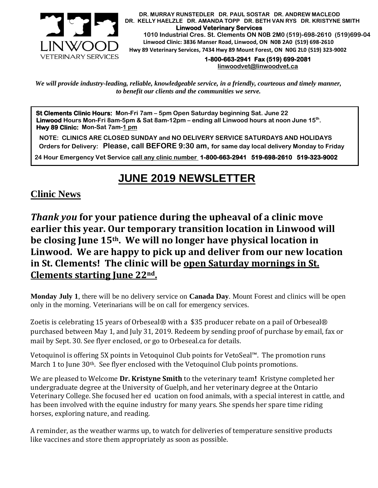

 **DR. MURRAY RUNSTEDLER DR. PAUL SOSTAR DR. ANDREW MACLEOD DR. KELLY HAELZLE DR. AMANDA TOPP DR. BETH VAN RYS DR. KRISTYNE SMITH Linwood Veterinary Services 1010 Industrial Cres. St. Clements ON N0B 2M0 (519)-698-2610 (519)699-0404 Linwood Clinic: 3836 Manser Road, Linwood, ON N0B 2A0 (519) 698-2610 Hwy 89 Veterinary Services, 7434 Hwy 89 Mount Forest, ON N0G 2L0 (519) 323-9002**

> **1-800-663-2941 Fax (519) 699-2081 [linwoodvet@linwoodvet.ca](mailto:linwoodvet@linwoodvet.ca)**

*We will provide industry-leading, reliable, knowledgeable service, in a friendly, courteous and timely manner, to benefit our clients and the communities we serve.*

**St Clements Clinic Hours: Mon-Fri 7am – 5pm Open Saturday beginning Sat. June 22 Linwood Hours Mon-Fri 8am-5pm & Sat 8am-12pm – ending all Linwood hours at noon June 15th . Hwy 89 Clinic: Mon-Sat 7am-1 pm**

 **NOTE: CLINICS ARE CLOSED SUNDAY and NO DELIVERY SERVICE SATURDAYS AND HOLIDAYS Orders for Delivery: Please, call BEFORE 9:30 am, for same day local delivery Monday to Friday** 

 **24 Hour Emergency Vet Service call any clinic number 1-800-663-2941 519-698-2610 519-323-9002**

## **JUNE 2019 NEWSLETTER**

## **Clinic News**

*Thank you* **for your patience during the upheaval of a clinic move earlier this year. Our temporary transition location in Linwood will be closing June 15th. We will no longer have physical location in Linwood. We are happy to pick up and deliver from our new location in St. Clements! The clinic will be open Saturday mornings in St. Clements starting June 22nd.**

**Monday July 1**, there will be no delivery service on **Canada Day**. Mount Forest and clinics will be open only in the morning. Veterinarians will be on call for emergency services.

Zoetis is celebrating 15 years of Orbeseal® with a \$35 producer rebate on a pail of Orbeseal® purchased between May 1, and July 31, 2019. Redeem by sending proof of purchase by email, fax or mail by Sept. 30. See flyer enclosed, or go to Orbeseal.ca for details.

Vetoquinol is offering 5X points in Vetoquinol Club points for VetoSeal™. The promotion runs March 1 to June 30<sup>th</sup>. See flyer enclosed with the Vetoquinol Club points promotions.

We are pleased to Welcome **Dr. Kristyne Smith** to the veterinary team**!** Kristyne completed her undergraduate degree at the University of Guelph, and her veterinary degree at the Ontario Veterinary College. She focused her ed ucation on food animals, with a special interest in cattle, and has been involved with the equine industry for many years. She spends her spare time riding horses, exploring nature, and reading.

A reminder, as the weather warms up, to watch for deliveries of temperature sensitive products like vaccines and store them appropriately as soon as possible.